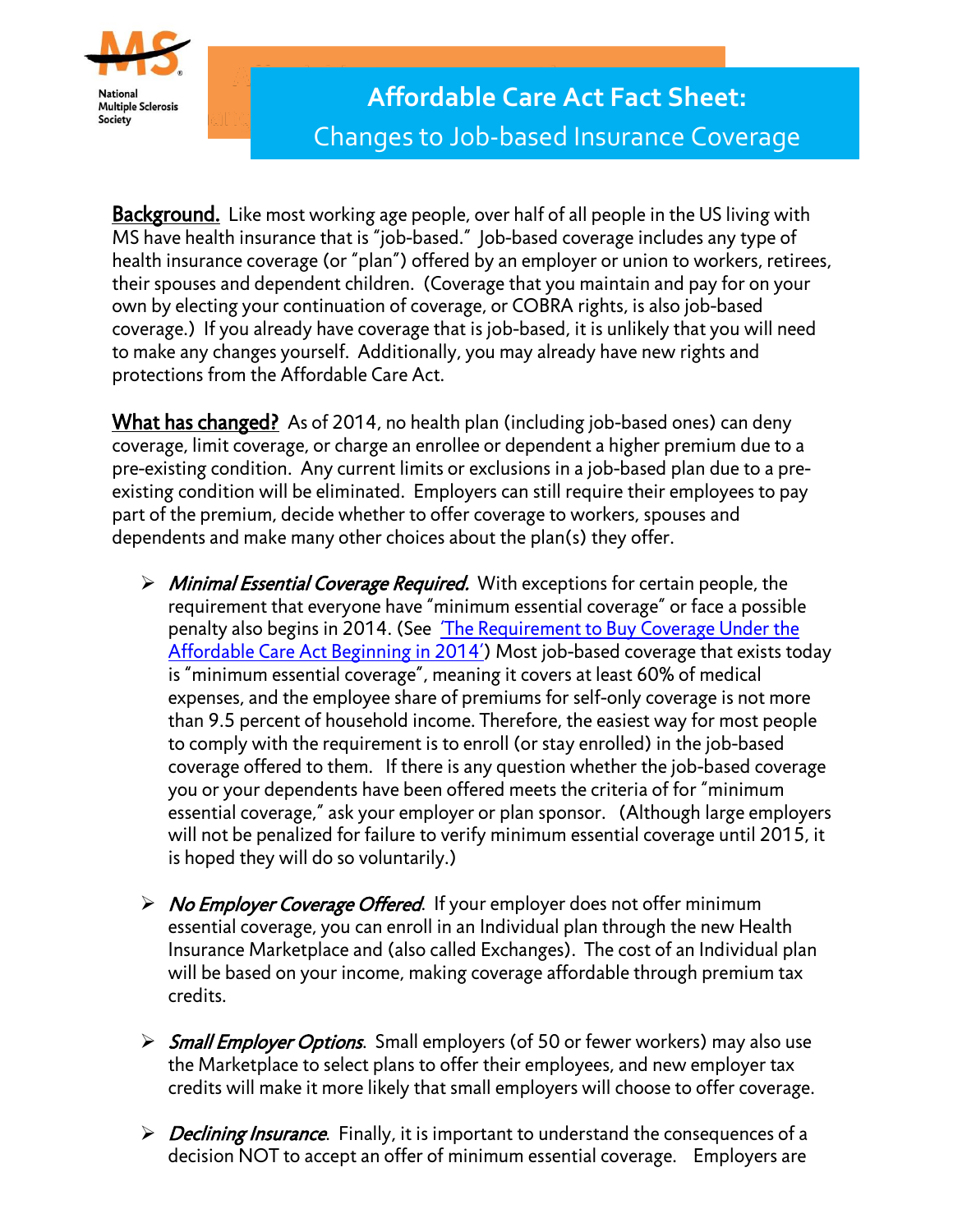

Background. Like most working age people, over half of all people in the US living with MS have health insurance that is "job-based." Job-based coverage includes any type of health insurance coverage (or "plan") offered by an employer or union to workers, retirees, their spouses and dependent children. (Coverage that you maintain and pay for on your own by electing your continuation of coverage, or COBRA rights, is also job-based coverage.) If you already have coverage that is job-based, it is unlikely that you will need to make any changes yourself. Additionally, you may already have new rights and protections from the Affordable Care Act.

What has changed? As of 2014, no health plan (including job-based ones) can deny coverage, limit coverage, or charge an enrollee or dependent a higher premium due to a pre-existing condition. Any current limits or exclusions in a job-based plan due to a preexisting condition will be eliminated. Employers can still require their employees to pay part of the premium, decide whether to offer coverage to workers, spouses and dependents and make many other choices about the plan(s) they offer.

- $\triangleright$  Minimal Essential Coverage Required. With exceptions for certain people, the requirement that everyone have "minimum essential coverage" or face a possible penalty also begins in 2014. (See ['The Requirement to Buy Coverage Under the](http://kaiserfamilyfoundation.files.wordpress.com/2013/04/requirement_flowchart_3.pdf)  [Affordable Care Act Beginning in 2014'](http://kaiserfamilyfoundation.files.wordpress.com/2013/04/requirement_flowchart_3.pdf)) Most job-based coverage that exists today is "minimum essential coverage", meaning it covers at least 60% of medical expenses, and the employee share of premiums for self-only coverage is not more than 9.5 percent of household income. Therefore, the easiest way for most people to comply with the requirement is to enroll (or stay enrolled) in the job-based coverage offered to them. If there is any question whether the job-based coverage you or your dependents have been offered meets the criteria of for "minimum essential coverage," ask your employer or plan sponsor. (Although large employers will not be penalized for failure to verify minimum essential coverage until 2015, it is hoped they will do so voluntarily.)
- $\triangleright$  No Employer Coverage Offered. If your employer does not offer minimum essential coverage, you can enroll in an Individual plan through the new Health Insurance Marketplace and (also called Exchanges). The cost of an Individual plan will be based on your income, making coverage affordable through premium tax credits.
- Small Employer Options. Small employers (of 50 or fewer workers) may also use the Marketplace to select plans to offer their employees, and new employer tax credits will make it more likely that small employers will choose to offer coverage.
- $\triangleright$  Declining Insurance. Finally, it is important to understand the consequences of a decision NOT to accept an offer of minimum essential coverage. Employers are